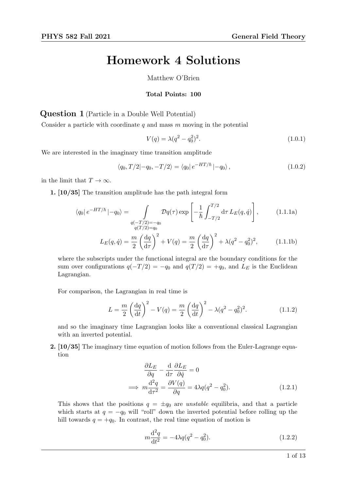## Homework 4 Solutions

Matthew O'Brien

## Total Points: 100

Question 1 (Particle in a Double Well Potential)

Consider a particle with coordinate  $q$  and mass  $m$  moving in the potential

$$
V(q) = \lambda (q^2 - q_0^2)^2.
$$
\n(1.0.1)

We are interested in the imaginary time transition amplitude

$$
\langle q_0, T/2 | -q_0, -T/2 \rangle = \langle q_0 | e^{-HT/\hbar} | -q_0 \rangle, \qquad (1.0.2)
$$

in the limit that  $T \to \infty$ .

1. [10/35] The transition amplitude has the path integral form

$$
\langle q_0 | e^{-HT/\hbar} | -q_0 \rangle = \int\limits_{\substack{q(-T/2) = -q_0 \\ q(T/2) = q_0}} \mathcal{D}q(\tau) \exp\left[ -\frac{1}{\hbar} \int_{-T/2}^{T/2} d\tau \, L_E(q, \dot{q}) \right], \tag{1.1.1a}
$$

$$
L_E(q, \dot{q}) = \frac{m}{2} \left(\frac{dq}{d\tau}\right)^2 + V(q) = \frac{m}{2} \left(\frac{dq}{d\tau}\right)^2 + \lambda(q^2 - q_0^2)^2, \quad (1.1.1b)
$$

where the subscripts under the functional integral are the boundary conditions for the sum over configurations  $q(-T/2) = -q_0$  and  $q(T/2) = +q_0$ , and  $L_E$  is the Euclidean Lagrangian.

For comparison, the Lagrangian in real time is

$$
L = \frac{m}{2} \left(\frac{dq}{dt}\right)^2 - V(q) = \frac{m}{2} \left(\frac{dq}{dt}\right)^2 - \lambda(q^2 - q_0^2)^2.
$$
 (1.1.2)

and so the imaginary time Lagrangian looks like a conventional classical Lagrangian with an inverted potential.

2. [10/35] The imaginary time equation of motion follows from the Euler-Lagrange equation

$$
\frac{\partial L_E}{\partial q} - \frac{d}{d\tau} \frac{\partial L_E}{\partial \dot{q}} = 0
$$
  
\n
$$
\implies m \frac{d^2 q}{d\tau^2} = \frac{\partial V(q)}{\partial q} = 4\lambda q (q^2 - q_0^2).
$$
 (1.2.1)

This shows that the positions  $q = \pm q_0$  are *unstable* equilibria, and that a particle which starts at  $q = -q_0$  will "roll" down the inverted potential before rolling up the hill towards  $q = +q_0$ . In contrast, the real time equation of motion is

$$
m\frac{\mathrm{d}^2q}{\mathrm{d}t^2} = -4\lambda q(q^2 - q_0^2). \tag{1.2.2}
$$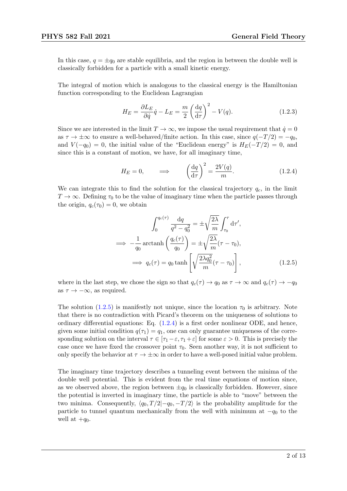In this case,  $q = \pm q_0$  are stable equilibria, and the region in between the double well is classically forbidden for a particle with a small kinetic energy.

The integral of motion which is analogous to the classical energy is the Hamiltonian function corresponding to the Euclidean Lagrangian

$$
H_E = \frac{\partial L_E}{\partial \dot{q}} \dot{q} - L_E = \frac{m}{2} \left(\frac{\mathrm{d}q}{\mathrm{d}\tau}\right)^2 - V(q). \tag{1.2.3}
$$

Since we are interested in the limit  $T \to \infty$ , we impose the usual requirement that  $\dot{q} = 0$ as  $\tau \to \pm \infty$  to ensure a well-behaved/finite action. In this case, since  $q(-T/2) = -q_0$ , and  $V(-q_0) = 0$ , the initial value of the "Euclidean energy" is  $H_E(-T/2) = 0$ , and since this is a constant of motion, we have, for all imaginary time,

<span id="page-1-1"></span>
$$
H_E = 0, \qquad \Longrightarrow \qquad \left(\frac{\mathrm{d}q}{\mathrm{d}\tau}\right)^2 = \frac{2V(q)}{m}.
$$
 (1.2.4)

We can integrate this to find the solution for the classical trajectory  $q_c$ , in the limit  $T \to \infty$ . Defining  $\tau_0$  to be the value of imaginary time when the particle passes through the origin,  $q_c(\tau_0) = 0$ , we obtain

<span id="page-1-0"></span>
$$
\int_0^{q_c(\tau)} \frac{\mathrm{d}q}{q^2 - q_0^2} = \pm \sqrt{\frac{2\lambda}{m}} \int_{\tau_0}^{\tau} \mathrm{d}\tau',
$$
  
\n
$$
\implies -\frac{1}{q_0} \operatorname{arctanh}\left(\frac{q_c(\tau)}{q_0}\right) = \pm \sqrt{\frac{2\lambda}{m}} (\tau - \tau_0),
$$
  
\n
$$
\implies q_c(\tau) = q_0 \tanh\left[\sqrt{\frac{2\lambda q_0^2}{m}} (\tau - \tau_0)\right],
$$
(1.2.5)

where in the last step, we chose the sign so that  $q_c(\tau) \to q_0$  as  $\tau \to \infty$  and  $q_c(\tau) \to -q_0$ as  $\tau \to -\infty$ , as required.

The solution [\(1.2.5\)](#page-1-0) is manifestly not unique, since the location  $\tau_0$  is arbitrary. Note that there is no contradiction with Picard's theorem on the uniqueness of solutions to ordinary differential equations: Eq. [\(1.2.4\)](#page-1-1) is a first order nonlinear ODE, and hence, given some initial condition  $q(\tau_1) = q_1$ , one can only guarantee uniqueness of the corresponding solution on the interval  $\tau \in [\tau_1 - \varepsilon, \tau_1 + \varepsilon]$  for some  $\varepsilon > 0$ . This is precisely the case once we have fixed the crossover point  $\tau_0$ . Seen another way, it is not sufficient to only specify the behavior at  $\tau \to \pm \infty$  in order to have a well-posed initial value problem.

The imaginary time trajectory describes a tunneling event between the minima of the double well potential. This is evident from the real time equations of motion since, as we observed above, the region between  $\pm q_0$  is classically forbidden. However, since the potential is inverted in imaginary time, the particle is able to "move" between the two minima. Consequently,  $\langle q_0, T/2|-q_0, -T/2 \rangle$  is the probability amplitude for the particle to tunnel quantum mechanically from the well with minimum at  $-q_0$  to the well at  $+q_0$ .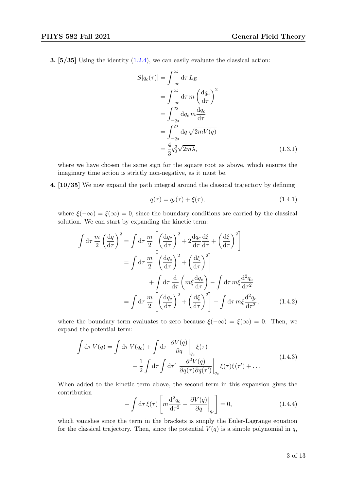**3.** [ $5/35$ ] Using the identity  $(1.2.4)$ , we can easily evaluate the classical action:

$$
S[q_c(\tau)] = \int_{-\infty}^{\infty} d\tau L_E
$$
  
= 
$$
\int_{-\infty}^{\infty} d\tau m \left(\frac{dq_c}{d\tau}\right)^2
$$
  
= 
$$
\int_{-q_0}^{q_0} dq_c m \frac{dq_c}{d\tau}
$$
  
= 
$$
\int_{-q_0}^{q_0} dq \sqrt{2mV(q)}
$$
  
= 
$$
\frac{4}{3}q_0^3\sqrt{2m\lambda},
$$
 (1.3.1)

where we have chosen the same sign for the square root as above, which ensures the imaginary time action is strictly non-negative, as it must be.

4. [10/35] We now expand the path integral around the classical trajectory by defining

$$
q(\tau) = q_c(\tau) + \xi(\tau),
$$
\n(1.4.1)

where  $\xi(-\infty) = \xi(\infty) = 0$ , since the boundary conditions are carried by the classical solution. We can start by expanding the kinetic term:

$$
\int d\tau \frac{m}{2} \left(\frac{dq}{d\tau}\right)^2 = \int d\tau \frac{m}{2} \left[ \left(\frac{dq_c}{d\tau}\right)^2 + 2\frac{dq_c}{d\tau} \frac{d\xi}{d\tau} + \left(\frac{d\xi}{d\tau}\right)^2 \right]
$$

$$
= \int d\tau \frac{m}{2} \left[ \left(\frac{dq_c}{d\tau}\right)^2 + \left(\frac{d\xi}{d\tau}\right)^2 \right]
$$

$$
+ \int d\tau \frac{d}{d\tau} \left( m\xi \frac{dq_c}{d\tau} \right) - \int d\tau m\xi \frac{d^2q_c}{d\tau^2}
$$

$$
= \int d\tau \frac{m}{2} \left[ \left(\frac{dq_c}{d\tau}\right)^2 + \left(\frac{d\xi}{d\tau}\right)^2 \right] - \int d\tau m\xi \frac{d^2q_c}{d\tau^2}, \qquad (1.4.2)
$$

where the boundary term evaluates to zero because  $\xi(-\infty) = \xi(\infty) = 0$ . Then, we expand the potential term:

$$
\int d\tau V(q) = \int d\tau V(q_c) + \int d\tau \left. \frac{\partial V(q)}{\partial q} \right|_{q_c} \xi(\tau) \n+ \frac{1}{2} \int d\tau \int d\tau' \left. \frac{\partial^2 V(q)}{\partial q(\tau) \partial q(\tau')} \right|_{q_c} \xi(\tau) \xi(\tau') + \dots
$$
\n(1.4.3)

When added to the kinetic term above, the second term in this expansion gives the contribution

$$
-\int d\tau \,\xi(\tau) \left[ m \frac{d^2 q_c}{d\tau^2} - \frac{\partial V(q)}{\partial q} \bigg|_{q_c} \right] = 0,\tag{1.4.4}
$$

which vanishes since the term in the brackets is simply the Euler-Lagrange equation for the classical trajectory. Then, since the potential  $V(q)$  is a simple polynomial in q,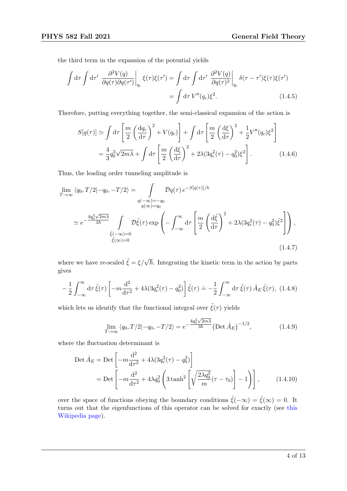the third term in the expansion of the potential yields

$$
\int d\tau \int d\tau' \left. \frac{\partial^2 V(q)}{\partial q(\tau) \partial q(\tau')} \right|_{q_c} \xi(\tau) \xi(\tau') = \int d\tau \int d\tau' \left. \frac{\partial^2 V(q)}{\partial q(\tau)^2} \right|_{q_c} \delta(\tau - \tau') \xi(\tau) \xi(\tau')
$$
\n
$$
= \int d\tau V''(q_c) \xi^2.
$$
\n(1.4.5)

Therefore, putting everything together, the semi-classical expansion of the action is

$$
S[q(\tau)] \simeq \int d\tau \left[ \frac{m}{2} \left( \frac{dq_c}{d\tau} \right)^2 + V(q_c) \right] + \int d\tau \left[ \frac{m}{2} \left( \frac{d\xi}{d\tau} \right)^2 + \frac{1}{2} V''(q_c) \xi^2 \right]
$$
  
=  $\frac{4}{3} q_0^3 \sqrt{2m\lambda} + \int d\tau \left[ \frac{m}{2} \left( \frac{d\xi}{d\tau} \right)^2 + 2\lambda (3q_c^2(\tau) - q_0^2) \xi^2 \right].$  (1.4.6)

Thus, the leading order tunneling amplitude is

$$
\lim_{T \to \infty} \langle q_0, T/2 | -q_0, -T/2 \rangle = \int_{\substack{q(-\infty) = -q_0 \\ q(\infty) = q_0}} \mathcal{D}q(\tau) e^{-S[q(\tau)]/\hbar}
$$
\n
$$
\simeq e^{-\frac{4q_0^3 \sqrt{2m\lambda}}{3\hbar}} \int_{\tilde{\xi}(-\infty) = 0} \mathcal{D}\tilde{\xi}(\tau) \exp\left(-\int_{-\infty}^{\infty} d\tau \left[\frac{m}{2} \left(\frac{d\tilde{\xi}}{d\tau}\right)^2 + 2\lambda (3q_c^2(\tau) - q_0^2)\tilde{\xi}^2\right]\right),
$$
\n(1.4.7)

where we have re-scaled  $\tilde{\xi} = \xi/\sqrt{\hbar}$ . Integrating the kinetic term in the action by parts gives

$$
-\frac{1}{2}\int_{-\infty}^{\infty} d\tau \tilde{\xi}(\tau) \left[ -m \frac{d^2}{d\tau^2} + 4\lambda (3q_c^2(\tau) - q_0^2) \right] \tilde{\xi}(\tau) \doteq -\frac{1}{2} \int_{-\infty}^{\infty} d\tau \, \tilde{\xi}(\tau) \, \hat{A}_E \, \tilde{\xi}(\tau), \tag{1.4.8}
$$

which lets us identify that the functional integral over  $\tilde{\xi}(\tau)$  yields

$$
\lim_{T \to \infty} \langle q_0, T/2 | -q_0, -T/2 \rangle = e^{-\frac{4q_0^3 \sqrt{2m\lambda}}{3\hbar}} \left( \text{Det} \,\hat{A}_E \right)^{-1/2}, \tag{1.4.9}
$$

where the fluctuation determinant is

$$
\text{Det}\,\hat{A}_E = \text{Det}\left[-m\frac{d^2}{d\tau^2} + 4\lambda(3q_c^2(\tau) - q_0^2)\right] \n= \text{Det}\left[-m\frac{d^2}{d\tau^2} + 4\lambda q_0^2 \left(3\tanh^2\left[\sqrt{\frac{2\lambda q_0^2}{m}}(\tau - \tau_0)\right] - 1\right)\right],\n\tag{1.4.10}
$$

over the space of functions obeying the boundary conditions  $\tilde{\xi}(-\infty) = \tilde{\xi}(\infty) = 0$ . It turns out that the eigenfunctions of this operator can be solved for exactly (see [this](https://en.wikipedia.org/wiki/P%C3%B6schl%E2%80%93Teller_potential) [Wikipedia page\)](https://en.wikipedia.org/wiki/P%C3%B6schl%E2%80%93Teller_potential).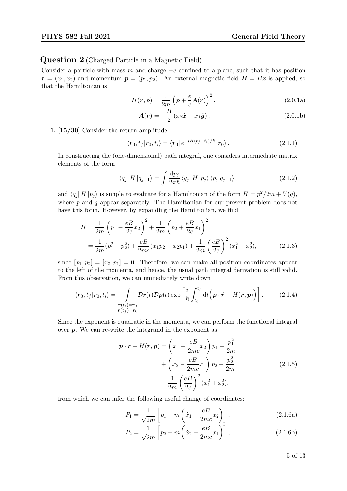Question 2 (Charged Particle in a Magnetic Field)

Consider a particle with mass m and charge  $-e$  confined to a plane, such that it has position  $\mathbf{r} = (x_1, x_2)$  and momentum  $\mathbf{p} = (p_1, p_2)$ . An external magnetic field  $\mathbf{B} = B\hat{z}$  is applied, so that the Hamiltonian is

<span id="page-4-0"></span>
$$
H(\mathbf{r}, \mathbf{p}) = \frac{1}{2m} \left( \mathbf{p} + \frac{e}{c} \mathbf{A}(\mathbf{r}) \right)^2, \tag{2.0.1a}
$$

$$
\mathbf{A}(\mathbf{r}) = -\frac{B}{2} \left( x_2 \hat{\mathbf{x}} - x_1 \hat{\mathbf{y}} \right). \tag{2.0.1b}
$$

1. [15/30] Consider the return amplitude

$$
\langle \mathbf{r}_0, t_f | \mathbf{r}_0, t_i \rangle = \langle \mathbf{r}_0 | e^{-iH(t_f - t_i)/\hbar} | \mathbf{r}_0 \rangle. \tag{2.1.1}
$$

In constructing the (one-dimensional) path integral, one considers intermediate matrix elements of the form

$$
\langle q_j | H | q_{j-1} \rangle = \int \frac{\mathrm{d}p_j}{2\pi\hbar} \langle q_j | H | p_j \rangle \langle p_j | q_{j-1} \rangle, \qquad (2.1.2)
$$

and  $\langle q_j | H | p_j \rangle$  is simple to evaluate for a Hamiltonian of the form  $H = p^2/2m + V(q)$ , where  $p$  and  $q$  appear separately. The Hamiltonian for our present problem does not have this form. However, by expanding the Hamiltonian, we find

$$
H = \frac{1}{2m} \left( p_1 - \frac{eB}{2c} x_2 \right)^2 + \frac{1}{2m} \left( p_2 + \frac{eB}{2c} x_1 \right)^2
$$
  
=  $\frac{1}{2m} (p_1^2 + p_2^2) + \frac{eB}{2mc} (x_1 p_2 - x_2 p_1) + \frac{1}{2m} \left( \frac{eB}{2c} \right)^2 (x_1^2 + x_2^2),$  (2.1.3)

since  $[x_1, p_2] = [x_2, p_1] = 0$ . Therefore, we can make all position coordinates appear to the left of the momenta, and hence, the usual path integral derivation is still valid. From this observation, we can immediately write down

$$
\langle \boldsymbol{r}_0, t_f | \boldsymbol{r}_0, t_i \rangle = \int_{\substack{\boldsymbol{r}(t_i) = \boldsymbol{r}_0 \\ \boldsymbol{r}(t_f) = \boldsymbol{r}_0}} \mathcal{D}\boldsymbol{r}(t) \mathcal{D}\boldsymbol{p}(t) \exp\left[\frac{i}{\hbar} \int_{t_i}^{t_f} \mathrm{d}t \left(\boldsymbol{p} \cdot \dot{\boldsymbol{r}} - H(\boldsymbol{r}, \boldsymbol{p})\right)\right]. \tag{2.1.4}
$$

Since the exponent is quadratic in the momenta, we can perform the functional integral over  $p$ . We can re-write the integrand in the exponent as

$$
\mathbf{p} \cdot \dot{\mathbf{r}} - H(\mathbf{r}, \mathbf{p}) = \left(\dot{x}_1 + \frac{eB}{2mc} x_2\right) p_1 - \frac{p_1^2}{2m} \n+ \left(\dot{x}_2 - \frac{eB}{2mc} x_1\right) p_2 - \frac{p_2^2}{2m} \n- \frac{1}{2m} \left(\frac{eB}{2c}\right)^2 (x_1^2 + x_2^2),
$$
\n(2.1.5)

from which we can infer the following useful change of coordinates:

$$
P_1 = \frac{1}{\sqrt{2m}} \left[ p_1 - m \left( \dot{x}_1 + \frac{eB}{2mc} x_2 \right) \right],
$$
 (2.1.6a)

$$
P_2 = \frac{1}{\sqrt{2m}} \left[ p_2 - m \left( \dot{x}_2 - \frac{eB}{2mc} x_1 \right) \right],
$$
 (2.1.6b)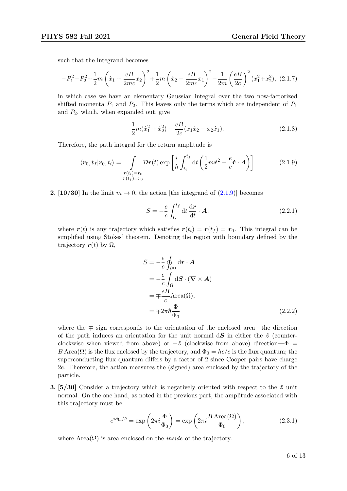such that the integrand becomes

$$
-P_1^2 - P_2^2 + \frac{1}{2}m\left(\dot{x}_1 + \frac{eB}{2mc}x_2\right)^2 + \frac{1}{2}m\left(\dot{x}_2 - \frac{eB}{2mc}x_1\right)^2 - \frac{1}{2m}\left(\frac{eB}{2c}\right)^2(x_1^2 + x_2^2),
$$
 (2.1.7)

in which case we have an elementary Gaussian integral over the two now-factorized shifted momenta  $P_1$  and  $P_2$ . This leaves only the terms which are independent of  $P_1$ and  $P_2$ , which, when expanded out, give

$$
\frac{1}{2}m(\dot{x}_1^2 + \dot{x}_2^2) - \frac{eB}{2c}(x_1\dot{x}_2 - x_2\dot{x}_1).
$$
 (2.1.8)

Therefore, the path integral for the return amplitude is

$$
\langle \boldsymbol{r}_0, t_f | \boldsymbol{r}_0, t_i \rangle = \int_{\substack{\boldsymbol{r}(t_i) = \boldsymbol{r}_0 \\ \boldsymbol{r}(t_f) = \boldsymbol{r}_0}} \mathcal{D}\boldsymbol{r}(t) \exp\left[\frac{i}{\hbar} \int_{t_i}^{t_f} dt \left(\frac{1}{2}m\dot{\boldsymbol{r}}^2 - \frac{e}{c}\dot{\boldsymbol{r}} \cdot \boldsymbol{A}\right)\right]. \tag{2.1.9}
$$

**2.** [10/30] In the limit  $m \to 0$ , the action [the integrand of [\(2.1.9\)](#page-5-0)] becomes

<span id="page-5-0"></span>
$$
S = -\frac{e}{c} \int_{t_i}^{t_f} dt \frac{dr}{dt} \cdot \mathbf{A}, \qquad (2.2.1)
$$

where  $r(t)$  is any trajectory which satisfies  $r(t_i) = r(t_f) = r_0$ . This integral can be simplified using Stokes' theorem. Denoting the region with boundary defined by the trajectory  $r(t)$  by  $\Omega$ ,

$$
S = -\frac{e}{c} \oint_{\partial \Omega} d\mathbf{r} \cdot \mathbf{A}
$$
  
=  $-\frac{e}{c} \int_{\Omega} d\mathbf{S} \cdot (\mathbf{\nabla} \times \mathbf{A})$   
=  $\mp \frac{eB}{c}$  Area( $\Omega$ ),  
=  $\mp 2\pi \hbar \frac{\Phi}{\Phi_0}$  (2.2.2)

where the ∓ sign corresponds to the orientation of the enclosed area—the direction of the path induces an orientation for the unit normal  $dS$  in either the  $\hat{z}$  (counterclockwise when viewed from above) or  $-\hat{z}$  (clockwise from above) direction— $\Phi =$ B Area $(\Omega)$  is the flux enclosed by the trajectory, and  $\Phi_0 = hc/e$  is the flux quantum; the superconducting flux quantum differs by a factor of 2 since Cooper pairs have charge 2e. Therefore, the action measures the (signed) area enclosed by the trajectory of the particle.

**3.** [5/30] Consider a trajectory which is negatively oriented with respect to the  $\hat{z}$  unit normal. On the one hand, as noted in the previous part, the amplitude associated with this trajectory must be

$$
e^{iS_{\rm in}/\hbar} = \exp\left(2\pi i \frac{\Phi}{\Phi_0}\right) = \exp\left(2\pi i \frac{B \operatorname{Area}(\Omega)}{\Phi_0}\right),\tag{2.3.1}
$$

where  $Area(\Omega)$  is area enclosed on the *inside* of the trajectory.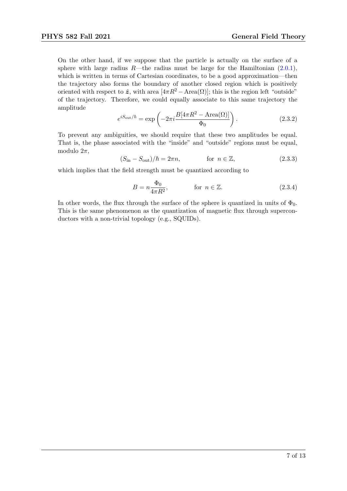On the other hand, if we suppose that the particle is actually on the surface of a sphere with large radius  $R$ —the radius must be large for the Hamiltonian [\(2.0.1\)](#page-4-0), which is written in terms of Cartesian coordinates, to be a good approximation—then the trajectory also forms the boundary of another closed region which is positively oriented with respect to  $\hat{z}$ , with area  $[4\pi R^2 - \text{Area}(\Omega)]$ ; this is the region left "outside" of the trajectory. Therefore, we could equally associate to this same trajectory the amplitude

$$
e^{iS_{\text{out}}/\hbar} = \exp\left(-2\pi i \frac{B[4\pi R^2 - \text{Area}(\Omega)]}{\Phi_0}\right). \tag{2.3.2}
$$

To prevent any ambiguities, we should require that these two amplitudes be equal. That is, the phase associated with the "inside" and "outside" regions must be equal, modulo  $2\pi$ ,

$$
(S_{\rm in} - S_{\rm out})/\hbar = 2\pi n, \qquad \text{for } n \in \mathbb{Z}, \qquad (2.3.3)
$$

which implies that the field strength must be quantized according to

$$
B = n \frac{\Phi_0}{4\pi R^2}, \qquad \text{for } n \in \mathbb{Z}.
$$
 (2.3.4)

In other words, the flux through the surface of the sphere is quantized in units of  $\Phi_0$ . This is the same phenomenon as the quantization of magnetic flux through superconductors with a non-trivial topology (e.g., SQUIDs).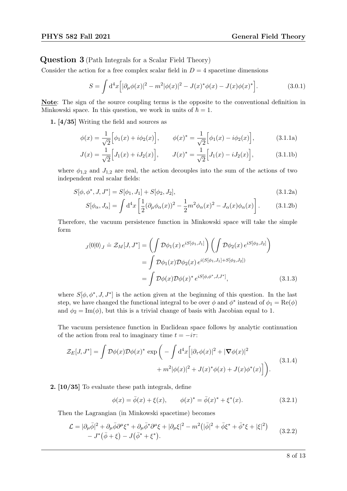Question 3 (Path Integrals for a Scalar Field Theory)

Consider the action for a free complex scalar field in  $D = 4$  spacetime dimensions

$$
S = \int d^4x \Big[ |\partial_\mu \phi(x)|^2 - m^2 |\phi(x)|^2 - J(x)^* \phi(x) - J(x) \phi(x)^* \Big]. \tag{3.0.1}
$$

Note: The sign of the source coupling terms is the opposite to the conventional definition in Minkowski space. In this question, we work in units of  $\hbar = 1$ .

1. [4/35] Writing the field and sources as

$$
\phi(x) = \frac{1}{\sqrt{2}} \Big[ \phi_1(x) + i \phi_2(x) \Big], \qquad \phi(x)^* = \frac{1}{\sqrt{2}} \Big[ \phi_1(x) - i \phi_2(x) \Big], \tag{3.1.1a}
$$

$$
J(x) = \frac{1}{\sqrt{2}} \Big[ J_1(x) + i J_2(x) \Big], \qquad J(x)^* = \frac{1}{\sqrt{2}} \Big[ J_1(x) - i J_2(x) \Big], \tag{3.1.1b}
$$

where  $\phi_{1,2}$  and  $J_{1,2}$  are real, the action decouples into the sum of the actions of two independent real scalar fields:

$$
S[\phi, \phi^*, J, J^*] = S[\phi_1, J_1] + S[\phi_2, J_2],
$$
\n(3.1.2a)

$$
S[\phi_{\alpha}, J_{\alpha}] = \int d^4x \left[ \frac{1}{2} (\partial_{\mu} \phi_{\alpha}(x))^2 - \frac{1}{2} m^2 \phi_{\alpha}(x)^2 - J_{\alpha}(x) \phi_{\alpha}(x) \right].
$$
 (3.1.2b)

Therefore, the vacuum persistence function in Minkowski space will take the simple form

$$
J(0|0)_J \doteq \mathcal{Z}_M[J, J^*] = \left(\int \mathcal{D}\phi_1(x) e^{iS[\phi_1, J_1]}\right) \left(\int \mathcal{D}\phi_2(x) e^{iS[\phi_2, J_2]}\right)
$$

$$
= \int \mathcal{D}\phi_1(x) \mathcal{D}\phi_2(x) e^{i(S[\phi_1, J_1] + S[\phi_2, J_2])}
$$

$$
= \int \mathcal{D}\phi(x) \mathcal{D}\phi(x)^* e^{iS[\phi, \phi^*, J, J^*]}, \qquad (3.1.3)
$$

where  $S[\phi, \phi^*, J, J^*]$  is the action given at the beginning of this question. In the last step, we have changed the functional integral to be over  $\phi$  and  $\phi^*$  instead of  $\phi_1 = \text{Re}(\phi)$ and  $\phi_2 = \text{Im}(\phi)$ , but this is a trivial change of basis with Jacobian equal to 1.

The vacuum persistence function in Euclidean space follows by analytic continuation of the action from real to imaginary time  $t = -i\tau$ :

$$
\mathcal{Z}_E[J, J^*] = \int \mathcal{D}\phi(x)\mathcal{D}\phi(x)^* \exp\bigg(-\int d^4x \Big[|\partial_\tau \phi(x)|^2 + |\nabla \phi(x)|^2 + m^2|\phi(x)|^2 + J(x)^*\phi(x) + J(x)\phi^*(x)\Big]\bigg).
$$
\n(3.1.4)

2. [10/35] To evaluate these path integrals, define

$$
\phi(x) = \bar{\phi}(x) + \xi(x), \qquad \phi(x)^* = \bar{\phi}(x)^* + \xi^*(x). \tag{3.2.1}
$$

Then the Lagrangian (in Minkowski spacetime) becomes

$$
\mathcal{L} = |\partial_{\mu}\bar{\phi}|^2 + \partial_{\mu}\bar{\phi}\partial^{\mu}\xi^* + \partial_{\mu}\bar{\phi}^*\partial^{\mu}\xi + |\partial_{\mu}\xi|^2 - m^2(|\bar{\phi}|^2 + \bar{\phi}\xi^* + \bar{\phi}^*\xi + |\xi|^2) - J^*(\bar{\phi} + \xi) - J(\bar{\phi}^* + \xi^*).
$$
\n(3.2.2)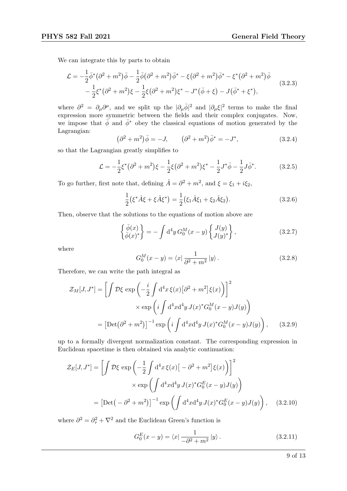We can integrate this by parts to obtain

$$
\mathcal{L} = -\frac{1}{2}\bar{\phi}^*(\partial^2 + m^2)\bar{\phi} - \frac{1}{2}\bar{\phi}(\partial^2 + m^2)\bar{\phi}^* - \xi(\partial^2 + m^2)\bar{\phi}^* - \xi^*(\partial^2 + m^2)\bar{\phi} - \frac{1}{2}\xi^*(\partial^2 + m^2)\xi - \frac{1}{2}\xi(\partial^2 + m^2)\xi^* - J^*(\bar{\phi} + \xi) - J(\bar{\phi}^* + \xi^*),
$$
\n(3.2.3)

where  $\partial^2 = \partial_\mu \partial^\mu$ , and we split up the  $|\partial_\mu \bar{\phi}|^2$  and  $|\partial_\mu \xi|^2$  terms to make the final expression more symmetric between the fields and their complex conjugates. Now, we impose that  $\bar{\phi}$  and  $\bar{\phi}^*$  obey the classical equations of motion generated by the Lagrangian:

$$
(\partial^2 + m^2)\bar{\phi} = -J, \qquad (\partial^2 + m^2)\bar{\phi}^* = -J^*, \qquad (3.2.4)
$$

so that the Lagrangian greatly simplifies to

$$
\mathcal{L} = -\frac{1}{2}\xi^* \left(\partial^2 + m^2\right)\xi - \frac{1}{2}\xi \left(\partial^2 + m^2\right)\xi^* - \frac{1}{2}J^*\bar{\phi} - \frac{1}{2}J\bar{\phi}^*.
$$
 (3.2.5)

To go further, first note that, defining  $\hat{A} = \partial^2 + m^2$ , and  $\xi = \xi_1 + i\xi_2$ ,

$$
\frac{1}{2}(\xi^* \hat{A} \xi + \xi \hat{A} \xi^*) = \frac{1}{2}(\xi_1 \hat{A} \xi_1 + \xi_2 \hat{A} \xi_2).
$$
 (3.2.6)

Then, observe that the solutions to the equations of motion above are

$$
\left\{\frac{\bar{\phi}(x)}{\bar{\phi}(x)^{*}}\right\} = -\int d^{4}y \, G_{0}^{M}(x-y) \left\{\frac{J(y)}{J(y)^{*}}\right\},\tag{3.2.7}
$$

where

$$
G_0^M(x - y) = \langle x | \frac{1}{\partial^2 + m^2} | y \rangle.
$$
 (3.2.8)

Therefore, we can write the path integral as

$$
\mathcal{Z}_M[J, J^*] = \left[ \int \mathcal{D}\xi \exp\left( -\frac{i}{2} \int d^4x \, \xi(x) \left[ \partial^2 + m^2 \right] \xi(x) \right) \right]^2
$$

$$
\times \exp\left( i \int d^4x d^4y \, J(x)^* G_0^M(x - y) J(y) \right)
$$

$$
= \left[ \text{Det}(\partial^2 + m^2) \right]^{-1} \exp\left( i \int d^4x d^4y \, J(x)^* G_0^M(x - y) J(y) \right), \qquad (3.2.9)
$$

up to a formally divergent normalization constant. The corresponding expression in Euclidean spacetime is then obtained via analytic continuation:

$$
\mathcal{Z}_E[J, J^*] = \left[ \int \mathcal{D}\xi \exp\left(-\frac{1}{2} \int d^4x \,\xi(x) \left[ -\partial^2 + m^2 \right] \xi(x) \right) \right]^2
$$

$$
\times \exp\left( \int d^4x d^4y \, J(x)^* G_0^E(x - y) J(y) \right)
$$

$$
= \left[ \text{Det}\left( -\partial^2 + m^2 \right) \right]^{-1} \exp\left( \int d^4x d^4y \, J(x)^* G_0^E(x - y) J(y) \right), \quad (3.2.10)
$$

where  $\partial^2 = \partial^2_{\tau} + \nabla^2$  and the Euclidean Green's function is

$$
G_0^E(x - y) = \langle x | \frac{1}{-\partial^2 + m^2} | y \rangle.
$$
 (3.2.11)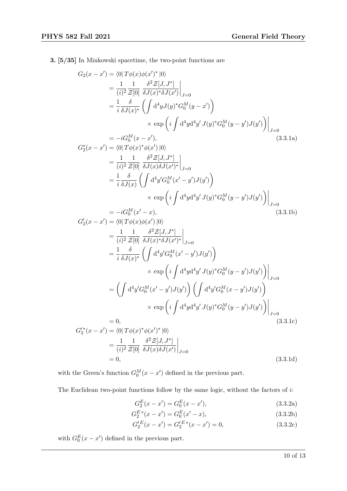3. [5/35] In Minkowski spacetime, the two-point functions are

$$
G_{2}(x - x') = \langle 0 | T\phi(x)\phi(x')^{*}|0\rangle
$$
  
\n
$$
= \frac{1}{(i)^{2}} \frac{1}{Z[0]} \frac{\delta^{2}Z[J, J^{*}]}{\delta J(x)^{*}\delta J(x')} \Big|_{J=0}
$$
  
\n
$$
= \frac{1}{i} \frac{\delta}{\delta J(x)^{*}} \left( \int d^{4}y J(y)^{*} G_{0}^{M}(y - x') \right)
$$
  
\n
$$
\times \exp \left( i \int d^{4}y d^{4}y' J(y)^{*} G_{0}^{M}(y - y') J(y') \right) \Big|_{J=0}
$$
  
\n
$$
= -iG_{0}^{M}(x - x'), \qquad (3.3.1a)
$$
  
\n
$$
G_{2}^{*}(x - x') = \langle 0 | T\phi(x)^{*}\phi(x') | 0 \rangle
$$
  
\n
$$
= \frac{1}{(i)^{2}} \frac{1}{Z[0]} \frac{\delta^{2}Z[J, J^{*}]}{\delta J(x)\delta J(x')^{*}} \Big|_{J=0}
$$
  
\n
$$
= \frac{1}{i} \frac{\delta}{\delta J(x)} \left( \int d^{4}y' G_{0}^{M}(x' - y') J(y') \right)
$$
  
\n
$$
\times \exp \left( i \int d^{4}y d^{4}y' J(y)^{*} G_{0}^{M}(y - y') J(y') \right) \Big|_{J=0}
$$
  
\n
$$
= -iG_{0}^{M}(x' - x), \qquad (3.3.1b)
$$
  
\n
$$
G_{2}'(x - x') = \langle 0 | T\phi(x)\phi(x') | 0 \rangle
$$
  
\n
$$
= \frac{1}{(i)^{2}} \frac{1}{Z[0]} \frac{\delta^{2}Z[J, J^{*}]}{\delta J(x)^{*}\delta J(x')^{*}} \Big|_{J=0}
$$
  
\n
$$
= \frac{1}{i} \frac{\delta}{\delta J(x)^{*}} \left( \int d^{4}y' G_{0}^{M}(x' - y') J(y') \right)
$$
  
\n
$$
\times \exp \left( i \int d^{4}y d^{4}y' J(y)^{*} G_{0}^{M}(y - y') J(y') \right) \Big|_{J=0}
$$
  
\n<math display="block</math>

with the Green's function  $G_0^M(x - x')$  defined in the previous part.

The Euclidean two-point functions follow by the same logic, without the factors of i:

$$
G_2^E(x - x') = G_0^E(x - x'),\tag{3.3.2a}
$$

 $= 0,$  (3.3.1d)

$$
G_2^{E*}(x - x') = G_0^{E}(x' - x),
$$
\n(3.3.2b)

$$
G_2^{\prime E}(x - x^{\prime}) = G_2^{\prime E \,*}(x - x^{\prime}) = 0,
$$
\n(3.3.2c)

with  $G_0^E(x - x')$  defined in the previous part.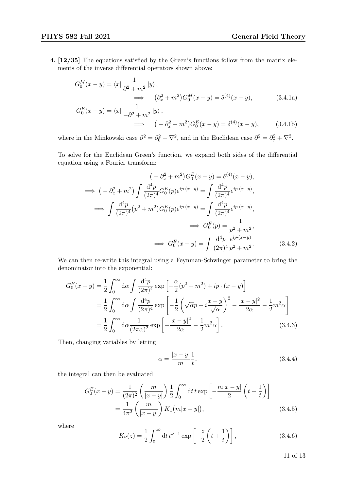4. [12/35] The equations satisfied by the Green's functions follow from the matrix elements of the inverse differential operators shown above:

$$
G_0^M(x - y) = \langle x | \frac{1}{\partial^2 + m^2} | y \rangle ,
$$
  
\n
$$
\implies (\partial_x^2 + m^2) G_0^M(x - y) = \delta^{(4)}(x - y),
$$
  
\n
$$
G_0^E(x - y) = \langle x | \frac{1}{-\partial^2 + m^2} | y \rangle ,
$$
\n(3.4.1a)

 $\implies$   $(-\partial_x^2 + m^2)G_0^E(x - y) = \delta$  $(3.4.1b)$ 

where in the Minkowski case  $\partial^2 = \partial_0^2 - \nabla^2$ , and in the Euclidean case  $\partial^2 = \partial_\tau^2 + \nabla^2$ .

To solve for the Euclidean Green's function, we expand both sides of the differential equation using a Fourier transform:

$$
(-\partial_x^2 + m^2) G_0^E(x - y) = \delta^{(4)}(x - y),
$$
  
\n
$$
\implies (-\partial_x^2 + m^2) \int \frac{d^4 p}{(2\pi)^4} G_0^E(p) e^{ip \cdot (x - y)} = \int \frac{d^4 p}{(2\pi)^4} e^{ip \cdot (x - y)},
$$
  
\n
$$
\implies \int \frac{d^4 p}{(2\pi)^4} (p^2 + m^2) G_0^E(p) e^{ip \cdot (x - y)} = \int \frac{d^4 p}{(2\pi)^4} e^{ip \cdot (x - y)},
$$
  
\n
$$
\implies G_0^E(p) = \frac{1}{p^2 + m^2},
$$
  
\n
$$
\implies G_0^E(x - y) = \int \frac{d^4 p}{(2\pi)^4} \frac{e^{ip \cdot (x - y)}}{p^2 + m^2}.
$$
(3.4.2)

We can then re-write this integral using a Feynman-Schwinger parameter to bring the denominator into the exponential:

$$
G_0^E(x-y) = \frac{1}{2} \int_0^\infty d\alpha \int \frac{d^4p}{(2\pi)^4} \exp\left[-\frac{\alpha}{2}(p^2+m^2) + ip \cdot (x-y)\right]
$$
  
= 
$$
\frac{1}{2} \int_0^\infty d\alpha \int \frac{d^4p}{(2\pi)^4} \exp\left[-\frac{1}{2}\left(\sqrt{\alpha}p - i\frac{x-y}{\sqrt{\alpha}}\right)^2 - \frac{|x-y|^2}{2\alpha} - \frac{1}{2}m^2\alpha\right]
$$
  
= 
$$
\frac{1}{2} \int_0^\infty d\alpha \frac{1}{(2\pi\alpha)^2} \exp\left[-\frac{|x-y|^2}{2\alpha} - \frac{1}{2}m^2\alpha\right].
$$
 (3.4.3)

Then, changing variables by letting

$$
\alpha = \frac{|x - y|}{m} \frac{1}{t},\tag{3.4.4}
$$

the integral can then be evaluated

$$
G_0^E(x - y) = \frac{1}{(2\pi)^2} \left(\frac{m}{|x - y|}\right) \frac{1}{2} \int_0^\infty dt \, t \exp\left[-\frac{m|x - y|}{2}\left(t + \frac{1}{t}\right)\right]
$$
  
=  $\frac{1}{4\pi^2} \left(\frac{m}{|x - y|}\right) K_1(m|x - y|),$  (3.4.5)

where

$$
K_{\nu}(z) = \frac{1}{2} \int_0^{\infty} dt \, t^{\nu - 1} \exp\left[ -\frac{z}{2} \left( t + \frac{1}{t} \right) \right],\tag{3.4.6}
$$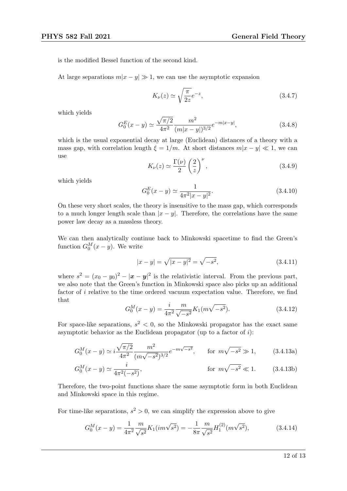is the modified Bessel function of the second kind.

At large separations  $m|x - y| \gg 1$ , we can use the asymptotic expansion

$$
K_{\nu}(z) \simeq \sqrt{\frac{\pi}{2z}}e^{-z},\tag{3.4.7}
$$

which yields

$$
G_0^E(x - y) \simeq \frac{\sqrt{\pi/2}}{4\pi^2} \frac{m^2}{(m|x - y|)^{3/2}} e^{-m|x - y|},
$$
\n(3.4.8)

which is the usual exponential decay at large (Euclidean) distances of a theory with a mass gap, with correlation length  $\xi = 1/m$ . At short distances  $m|x - y| \ll 1$ , we can use

$$
K_{\nu}(z) \simeq \frac{\Gamma(\nu)}{2} \left(\frac{2}{z}\right)^{\nu},\tag{3.4.9}
$$

which yields

$$
G_0^E(x - y) \simeq \frac{1}{4\pi^2 |x - y|^2}.
$$
\n(3.4.10)

On these very short scales, the theory is insensitive to the mass gap, which corresponds to a much longer length scale than  $|x - y|$ . Therefore, the correlations have the same power law decay as a massless theory.

We can then analytically continue back to Minkowski spacetime to find the Green's function  $G_0^M(x-y)$ . We write

$$
|x - y| = \sqrt{|x - y|^2} = \sqrt{-s^2},
$$
\n(3.4.11)

where  $s^2 = (x_0 - y_0)^2 - |\mathbf{x} - \mathbf{y}|^2$  is the relativistic interval. From the previous part, we also note that the Green's function in Minkowski space also picks up an additional factor of i relative to the time ordered vacuum expectation value. Therefore, we find that

$$
G_0^M(x - y) = \frac{i}{4\pi^2} \frac{m}{\sqrt{-s^2}} K_1(m\sqrt{-s^2}).
$$
\n(3.4.12)

For space-like separations,  $s^2 < 0$ , so the Minkowski propagator has the exact same asymptotic behavior as the Euclidean propagator (up to a factor of  $i$ ):

$$
G_0^M(x-y) \simeq i \frac{\sqrt{\pi/2}}{4\pi^2} \frac{m^2}{(m\sqrt{-s^2})^{3/2}} e^{-m\sqrt{-s^2}}, \qquad \text{for } m\sqrt{-s^2} \gg 1,
$$
 (3.4.13a)

$$
G_0^M(x - y) \simeq \frac{i}{4\pi^2(-s^2)}, \qquad \text{for } m\sqrt{-s^2} \ll 1. \qquad (3.4.13b)
$$

Therefore, the two-point functions share the same asymptotic form in both Euclidean and Minkowski space in this regime.

For time-like separations,  $s^2 > 0$ , we can simplify the expression above to give

$$
G_0^M(x - y) = \frac{1}{4\pi^2} \frac{m}{\sqrt{s^2}} K_1(im\sqrt{s^2}) = -\frac{1}{8\pi} \frac{m}{\sqrt{s^2}} H_1^{(2)}(m\sqrt{s^2}),\tag{3.4.14}
$$